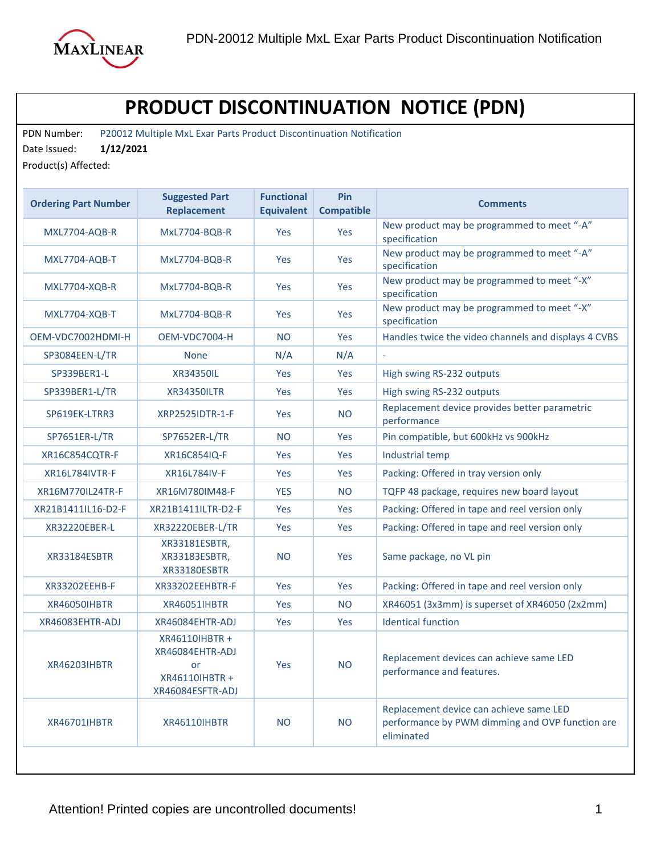

## **PRODUCT DISCONTINUATION NOTICE (PDN)**

PDN Number: P20012 Multiple MxL Exar Parts Product Discontinuation Notification

Date Issued: **1/12/2021**

Product(s) Affected:

| <b>Ordering Part Number</b> | <b>Suggested Part</b><br><b>Replacement</b>                                     | <b>Functional</b><br><b>Equivalent</b> | Pin<br><b>Compatible</b> | <b>Comments</b>                                                                                          |
|-----------------------------|---------------------------------------------------------------------------------|----------------------------------------|--------------------------|----------------------------------------------------------------------------------------------------------|
| MXL7704-AQB-R               | MxL7704-BQB-R                                                                   | Yes                                    | Yes                      | New product may be programmed to meet "-A"<br>specification                                              |
| <b>MXL7704-AQB-T</b>        | MxL7704-BQB-R                                                                   | Yes                                    | Yes                      | New product may be programmed to meet "-A"<br>specification                                              |
| <b>MXL7704-XQB-R</b>        | <b>MxL7704-BQB-R</b>                                                            | Yes                                    | Yes                      | New product may be programmed to meet "-X"<br>specification                                              |
| <b>MXL7704-XQB-T</b>        | MxL7704-BQB-R                                                                   | <b>Yes</b>                             | Yes                      | New product may be programmed to meet "-X"<br>specification                                              |
| OEM-VDC7002HDMI-H           | OEM-VDC7004-H                                                                   | <b>NO</b>                              | Yes                      | Handles twice the video channels and displays 4 CVBS                                                     |
| SP3084EEN-L/TR              | <b>None</b>                                                                     | N/A                                    | N/A                      | $\bar{\phantom{a}}$                                                                                      |
| SP339BER1-L                 | XR34350IL                                                                       | Yes                                    | Yes                      | High swing RS-232 outputs                                                                                |
| SP339BER1-L/TR              | <b>XR34350ILTR</b>                                                              | <b>Yes</b>                             | Yes                      | High swing RS-232 outputs                                                                                |
| SP619EK-LTRR3               | <b>XRP2525IDTR-1-F</b>                                                          | <b>Yes</b>                             | NO.                      | Replacement device provides better parametric<br>performance                                             |
| SP7651ER-L/TR               | SP7652ER-L/TR                                                                   | NO.                                    | Yes                      | Pin compatible, but 600kHz vs 900kHz                                                                     |
| XR16C854CQTR-F              | XR16C854IQ-F                                                                    | <b>Yes</b>                             | Yes                      | Industrial temp                                                                                          |
| <b>XR16L784IVTR-F</b>       | XR16L784IV-F                                                                    | Yes                                    | Yes                      | Packing: Offered in tray version only                                                                    |
| XR16M770IL24TR-F            | XR16M780IM48-F                                                                  | <b>YES</b>                             | <b>NO</b>                | TQFP 48 package, requires new board layout                                                               |
| XR21B1411IL16-D2-F          | XR21B1411ILTR-D2-F                                                              | Yes                                    | Yes                      | Packing: Offered in tape and reel version only                                                           |
| XR32220EBER-L               | XR32220EBER-L/TR                                                                | Yes                                    | Yes                      | Packing: Offered in tape and reel version only                                                           |
| XR33184ESBTR                | XR33181ESBTR,<br>XR33183ESBTR,<br>XR33180ESBTR                                  | <b>NO</b>                              | <b>Yes</b>               | Same package, no VL pin                                                                                  |
| XR33202EEHB-F               | XR33202EEHBTR-F                                                                 | <b>Yes</b>                             | Yes                      | Packing: Offered in tape and reel version only                                                           |
| XR46050IHBTR                | <b>XR46051IHBTR</b>                                                             | Yes                                    | NO.                      | XR46051 (3x3mm) is superset of XR46050 (2x2mm)                                                           |
| XR46083EHTR-ADJ             | XR46084EHTR-ADJ                                                                 | Yes                                    | Yes                      | <b>Identical function</b>                                                                                |
| <b>XR46203IHBTR</b>         | XR46110IHBTR +<br>XR46084EHTR-ADJ<br>or -<br>XR46110IHBTR +<br>XR46084ESFTR-ADJ | <b>Yes</b>                             | <b>NO</b>                | Replacement devices can achieve same LED<br>performance and features.                                    |
| <b>XR46701IHBTR</b>         | <b>XR46110IHBTR</b>                                                             | <b>NO</b>                              | <b>NO</b>                | Replacement device can achieve same LED<br>performance by PWM dimming and OVP function are<br>eliminated |